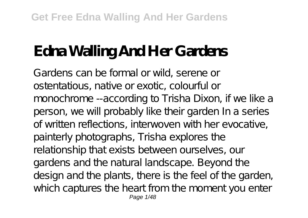# **Edna Walling And Her Gardens**

Gardens can be formal or wild, serene or ostentatious, native or exotic, colourful or monochrome --according to Trisha Dixon, if we like a person, we will probably like their garden In a series of written reflections, interwoven with her evocative, painterly photographs, Trisha explores the relationship that exists between ourselves, our gardens and the natural landscape. Beyond the design and the plants, there is the feel of the garden, which captures the heart from the moment you enter Page 1/48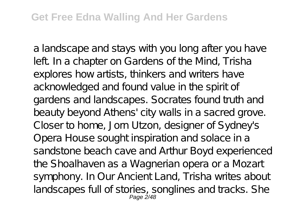a landscape and stays with you long after you have left. In a chapter on Gardens of the Mind, Trisha explores how artists, thinkers and writers have acknowledged and found value in the spirit of gardens and landscapes. Socrates found truth and beauty beyond A thens' city walls in a sacred grove. Closer to home, Jorn Utzon, designer of Sydney's Opera House sought inspiration and solace in a sandstone beach cave and Arthur Boyd experienced the Shoalhaven as a Wagnerian opera or a Mozart symphony. In Our Ancient Land, Trisha writes about landscapes full of stories, songlines and tracks. She<br>Page 2/48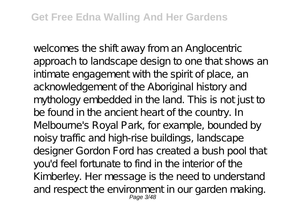welcomes the shift away from an Anglocentric approach to landscape design to one that shows an intimate engagement with the spirit of place, an acknowledgement of the Aboriginal history and mythology embedded in the land. This is not just to be found in the ancient heart of the country. In Melbourne's Royal Park, for example, bounded by noisy traffic and high-rise buildings, landscape designer Gordon Ford has created a bush pool that you'd feel fortunate to find in the interior of the Kimberley. Her message is the need to understand and respect the environment in our garden making.<br>Page 3/48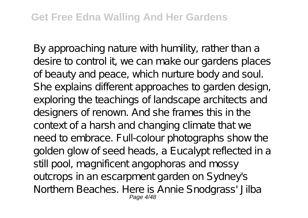By approaching nature with humility, rather than a desire to control it, we can make our gardens places of beauty and peace, which nurture body and soul. She explains different approaches to garden design, exploring the teachings of landscape architects and designers of renown. And she frames this in the context of a harsh and changing climate that we need to embrace. Full-colour photographs show the golden glow of seed heads, a Eucalypt reflected in a still pool, magnificent angophoras and mossy outcrops in an escarpment garden on Sydney's Northern Beaches. Here is Annie Snodgrass' Jilba<br>Page 4/48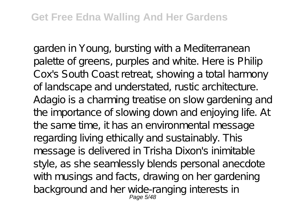garden in Young, bursting with a Mediterranean palette of greens, purples and white. Here is Philip Cox's South Coast retreat, showing a total harmony of landscape and understated, rustic architecture. Adagio is a charming treatise on slow gardening and the importance of slowing down and enjoying life. At the same time, it has an environmental message regarding living ethically and sustainably. This message is delivered in Trisha Dixon's inimitable style, as she seamlessly blends personal anecdote with musings and facts, drawing on her gardening background and her wide-ranging interests in<br>Page 5/48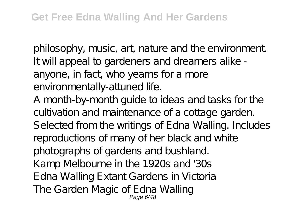philosophy, music, art, nature and the environment. It will appeal to gardeners and dreamers alike anyone, in fact, who yearns for a more environmentally-attuned life.

A month-by-month guide to ideas and tasks for the cultivation and maintenance of a cottage garden. Selected from the writings of Edna Walling. Includes reproductions of many of her black and white photographs of gardens and bushland. Kamp Melbourne in the 1920s and '30s Edna Walling Extant Gardens in Victoria The Garden Magic of Edna Walling Page 6/48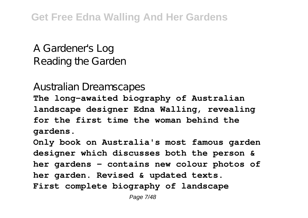**Get Free Edna Walling And Her Gardens**

A Gardener's Log Reading the Garden

Australian Dreamscapes

**The long-awaited biography of Australian landscape designer Edna Walling, revealing for the first time the woman behind the gardens.**

**Only book on Australia's most famous garden designer which discusses both the person & her gardens - contains new colour photos of her garden. Revised & updated texts. First complete biography of landscape**

Page 7/48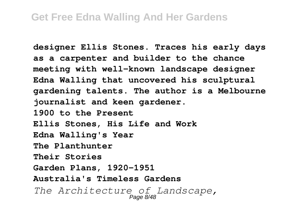**designer Ellis Stones. Traces his early days as a carpenter and builder to the chance meeting with well-known landscape designer Edna Walling that uncovered his sculptural gardening talents. The author is a Melbourne journalist and keen gardener. 1900 to the Present Ellis Stones, His Life and Work Edna Walling's Year The Planthunter Their Stories Garden Plans, 1920-1951 Australia's Timeless Gardens** *The Architecture of Landscape,* Page 8/48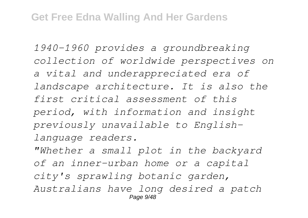*1940-1960 provides a groundbreaking collection of worldwide perspectives on a vital and underappreciated era of landscape architecture. It is also the first critical assessment of this period, with information and insight previously unavailable to Englishlanguage readers.*

*"Whether a small plot in the backyard of an inner-urban home or a capital city's sprawling botanic garden, Australians have long desired a patch* **Page 9/48**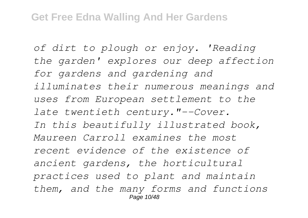*of dirt to plough or enjoy. 'Reading the garden' explores our deep affection for gardens and gardening and illuminates their numerous meanings and uses from European settlement to the late twentieth century."--Cover. In this beautifully illustrated book, Maureen Carroll examines the most recent evidence of the existence of ancient gardens, the horticultural practices used to plant and maintain them, and the many forms and functions* Page 10/48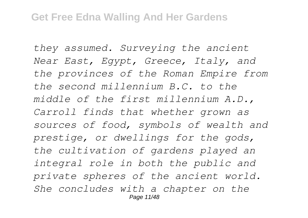*they assumed. Surveying the ancient Near East, Egypt, Greece, Italy, and the provinces of the Roman Empire from the second millennium B.C. to the middle of the first millennium A.D., Carroll finds that whether grown as sources of food, symbols of wealth and prestige, or dwellings for the gods, the cultivation of gardens played an integral role in both the public and private spheres of the ancient world. She concludes with a chapter on the* Page 11/48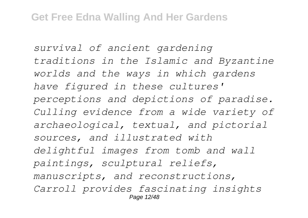*survival of ancient gardening traditions in the Islamic and Byzantine worlds and the ways in which gardens have figured in these cultures' perceptions and depictions of paradise. Culling evidence from a wide variety of archaeological, textual, and pictorial sources, and illustrated with delightful images from tomb and wall paintings, sculptural reliefs, manuscripts, and reconstructions, Carroll provides fascinating insights* Page 12/48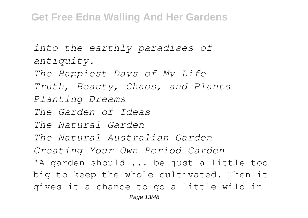*into the earthly paradises of antiquity. The Happiest Days of My Life Truth, Beauty, Chaos, and Plants Planting Dreams The Garden of Ideas The Natural Garden The Natural Australian Garden Creating Your Own Period Garden* 'A garden should ... be just a little too big to keep the whole cultivated. Then it gives it a chance to go a little wild in Page 13/48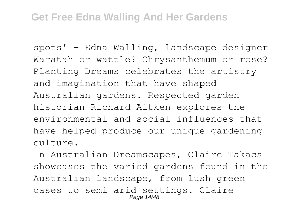spots' - Edna Walling, landscape designer Waratah or wattle? Chrysanthemum or rose? Planting Dreams celebrates the artistry and imagination that have shaped Australian gardens. Respected garden historian Richard Aitken explores the environmental and social influences that have helped produce our unique gardening culture.

In Australian Dreamscapes, Claire Takacs showcases the varied gardens found in the Australian landscape, from lush green oases to semi-arid settings. Claire Page 14/48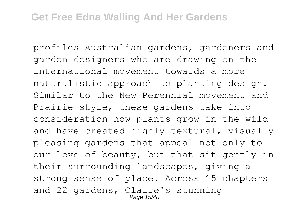profiles Australian gardens, gardeners and garden designers who are drawing on the international movement towards a more naturalistic approach to planting design. Similar to the New Perennial movement and Prairie-style, these gardens take into consideration how plants grow in the wild and have created highly textural, visually pleasing gardens that appeal not only to our love of beauty, but that sit gently in their surrounding landscapes, giving a strong sense of place. Across 15 chapters and 22 gardens, Claire's stunning Page 15/48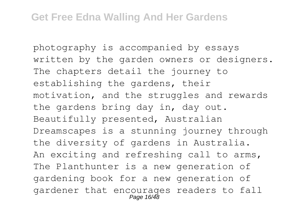photography is accompanied by essays written by the garden owners or designers. The chapters detail the journey to establishing the gardens, their motivation, and the struggles and rewards the gardens bring day in, day out. Beautifully presented, Australian Dreamscapes is a stunning journey through the diversity of gardens in Australia. An exciting and refreshing call to arms, The Planthunter is a new generation of gardening book for a new generation of gardener that encourages readers to fall Page 16/48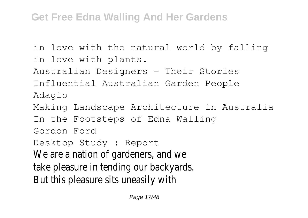#### **Get Free Edna Walling And Her Gardens**

in love with the natural world by falling in love with plants.

Australian Designers - Their Stories

Influential Australian Garden People Adagio

Making Landscape Architecture in Australia

In the Footsteps of Edna Walling

Gordon Ford

Desktop Study : Report

We are a nation of gardeners, and we

take pleasure in tending our backyards.

But this pleasure sits uneasily with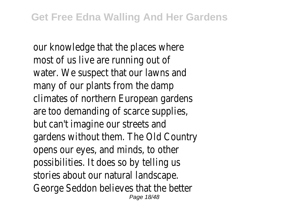our knowledge that the places where most of us live are running out of water. We suspect that our lawns and many of our plants from the damp climates of northern European gardens are too demanding of scarce supplies, but can't imagine our streets and gardens without them. The Old Country opens our eyes, and minds, to other possibilities. It does so by telling us stories about our natural landscape. George Seddon believes that the better Page 18/48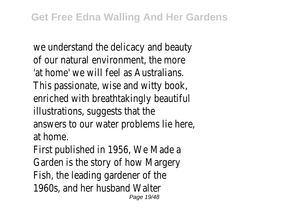we understand the delicacy and beauty of our natural environment, the more 'at home' we will feel as Australians. This passionate, wise and witty book, enriched with breathtakingly beautiful illustrations, suggests that the answers to our water problems lie here, at home. First published in 1956, We Made a Garden is the story of how Margery

Fish, the leading gardener of the

1960s, and her husband Walter Page 19/48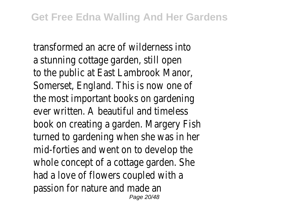transformed an acre of wilderness into a stunning cottage garden, still open to the public at East Lambrook Manor, Somerset, England. This is now one of the most important books on gardening ever written. A beautiful and timeless book on creating a garden. Margery Fish turned to gardening when she was in her mid-forties and went on to develop the whole concept of a cottage garden. She had a love of flowers coupled with a passion for nature and made an Page 20/48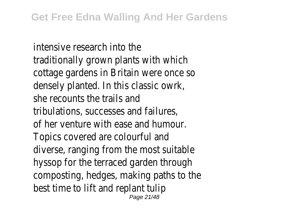intensive research into the traditionally grown plants with which cottage gardens in Britain were once so densely planted. In this classic owrk, she recounts the trails and tribulations, successes and failures, of her venture with ease and humour. Topics covered are colourful and diverse, ranging from the most suitable hyssop for the terraced garden through composting, hedges, making paths to the best time to lift and replant tulip Page 21/48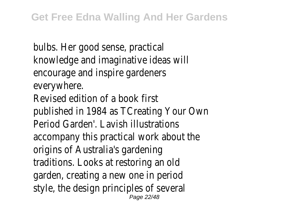bulbs. Her good sense, practical knowledge and imaginative ideas will encourage and inspire gardeners everywhere. Revised edition of a book first published in 1984 as TCreating Your Own Period Garden'. Lavish illustrations accompany this practical work about the origins of Australia's gardening traditions. Looks at restoring an old garden, creating a new one in period style, the design principles of several Page 22/48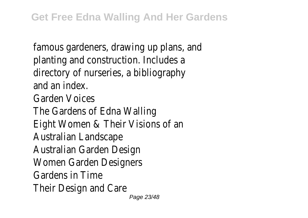famous gardeners, drawing up plans, and planting and construction. Includes a directory of nurseries, a bibliography and an index. Garden Voices The Gardens of Edna Walling Eight Women & Their Visions of an Australian Landscape Australian Garden Design Women Garden Designers Gardens in Time Their Design and Care Page 23/48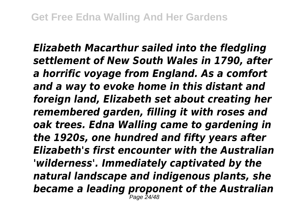*Elizabeth Macarthur sailed into the fledgling settlement of New South Wales in 1790, after a horrific voyage from England. As a comfort and a way to evoke home in this distant and foreign land, Elizabeth set about creating her remembered garden, filling it with roses and oak trees. Edna Walling came to gardening in the 1920s, one hundred and fifty years after Elizabeth's first encounter with the Australian 'wilderness'. Immediately captivated by the natural landscape and indigenous plants, she became a leading proponent of the Australian* Page 24/48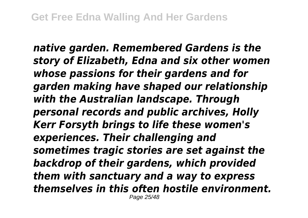*native garden. Remembered Gardens is the story of Elizabeth, Edna and six other women whose passions for their gardens and for garden making have shaped our relationship with the Australian landscape. Through personal records and public archives, Holly Kerr Forsyth brings to life these women's experiences. Their challenging and sometimes tragic stories are set against the backdrop of their gardens, which provided them with sanctuary and a way to express themselves in this often hostile environment.* Page 25/48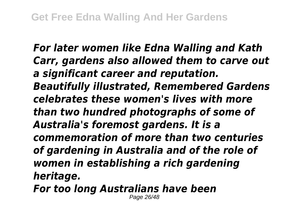*For later women like Edna Walling and Kath Carr, gardens also allowed them to carve out a significant career and reputation. Beautifully illustrated, Remembered Gardens celebrates these women's lives with more than two hundred photographs of some of Australia's foremost gardens. It is a commemoration of more than two centuries of gardening in Australia and of the role of women in establishing a rich gardening heritage. For too long Australians have been*

Page 26/48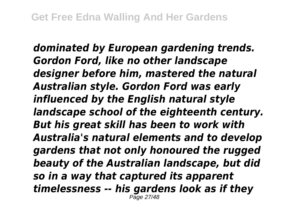*dominated by European gardening trends. Gordon Ford, like no other landscape designer before him, mastered the natural Australian style. Gordon Ford was early influenced by the English natural style landscape school of the eighteenth century. But his great skill has been to work with Australia's natural elements and to develop gardens that not only honoured the rugged beauty of the Australian landscape, but did so in a way that captured its apparent timelessness -- his gardens look as if they* Page 27/48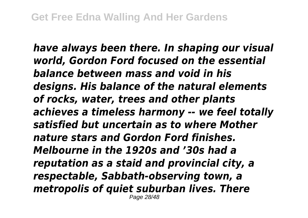*have always been there. In shaping our visual world, Gordon Ford focused on the essential balance between mass and void in his designs. His balance of the natural elements of rocks, water, trees and other plants achieves a timeless harmony -- we feel totally satisfied but uncertain as to where Mother nature stars and Gordon Ford finishes. Melbourne in the 1920s and '30s had a reputation as a staid and provincial city, a respectable, Sabbath-observing town, a metropolis of quiet suburban lives. There* Page 28/48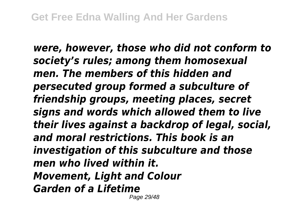*were, however, those who did not conform to society's rules; among them homosexual men. The members of this hidden and persecuted group formed a subculture of friendship groups, meeting places, secret signs and words which allowed them to live their lives against a backdrop of legal, social, and moral restrictions. This book is an investigation of this subculture and those men who lived within it. Movement, Light and Colour Garden of a Lifetime*

Page 29/48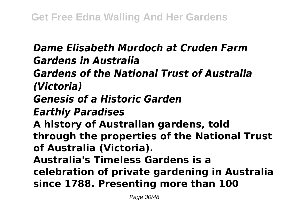## *Dame Elisabeth Murdoch at Cruden Farm Gardens in Australia Gardens of the National Trust of Australia (Victoria) Genesis of a Historic Garden Earthly Paradises* **A history of Australian gardens, told through the properties of the National Trust of Australia (Victoria). Australia's Timeless Gardens is a celebration of private gardening in Australia since 1788. Presenting more than 100**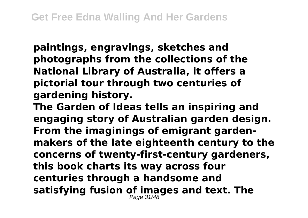**paintings, engravings, sketches and photographs from the collections of the National Library of Australia, it offers a pictorial tour through two centuries of gardening history.**

**The Garden of Ideas tells an inspiring and engaging story of Australian garden design. From the imaginings of emigrant gardenmakers of the late eighteenth century to the concerns of twenty-first-century gardeners, this book charts its way across four centuries through a handsome and satisfying fusion of images and text. The** Page 31/48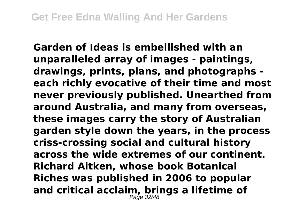**Garden of Ideas is embellished with an unparalleled array of images - paintings, drawings, prints, plans, and photographs each richly evocative of their time and most never previously published. Unearthed from around Australia, and many from overseas, these images carry the story of Australian garden style down the years, in the process criss-crossing social and cultural history across the wide extremes of our continent. Richard Aitken, whose book Botanical Riches was published in 2006 to popular and critical acclaim, brings a lifetime of** Page 32/48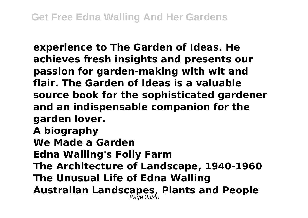**experience to The Garden of Ideas. He achieves fresh insights and presents our passion for garden-making with wit and flair. The Garden of Ideas is a valuable source book for the sophisticated gardener and an indispensable companion for the garden lover. A biography We Made a Garden Edna Walling's Folly Farm The Architecture of Landscape, 1940-1960 The Unusual Life of Edna Walling Australian Landscapes, Plants and People** Page 33/48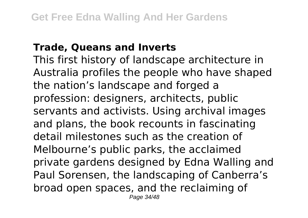#### **Trade, Queans and Inverts**

This first history of landscape architecture in Australia profiles the people who have shaped the nation's landscape and forged a profession: designers, architects, public servants and activists. Using archival images and plans, the book recounts in fascinating detail milestones such as the creation of Melbourne's public parks, the acclaimed private gardens designed by Edna Walling and Paul Sorensen, the landscaping of Canberra's broad open spaces, and the reclaiming of Page 34/48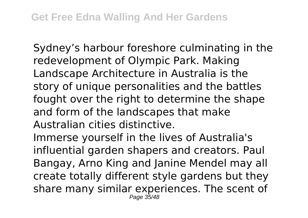Sydney's harbour foreshore culminating in the redevelopment of Olympic Park. Making Landscape Architecture in Australia is the story of unique personalities and the battles fought over the right to determine the shape and form of the landscapes that make Australian cities distinctive.

Immerse yourself in the lives of Australia's influential garden shapers and creators. Paul Bangay, Arno King and Janine Mendel may all create totally different style gardens but they share many similar experiences. The scent of Page 35/48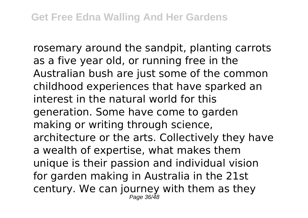rosemary around the sandpit, planting carrots as a five year old, or running free in the Australian bush are just some of the common childhood experiences that have sparked an interest in the natural world for this generation. Some have come to garden making or writing through science, architecture or the arts. Collectively they have a wealth of expertise, what makes them unique is their passion and individual vision for garden making in Australia in the 21st century. We can journey with them as they Page 36/48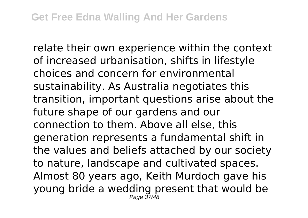relate their own experience within the context of increased urbanisation, shifts in lifestyle choices and concern for environmental sustainability. As Australia negotiates this transition, important questions arise about the future shape of our gardens and our connection to them. Above all else, this generation represents a fundamental shift in the values and beliefs attached by our society to nature, landscape and cultivated spaces. Almost 80 years ago, Keith Murdoch gave his young bride a wedding present that would be  $P_{200}$   $27/49$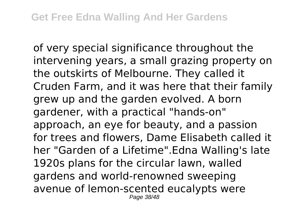of very special significance throughout the intervening years, a small grazing property on the outskirts of Melbourne. They called it Cruden Farm, and it was here that their family grew up and the garden evolved. A born gardener, with a practical "hands-on" approach, an eye for beauty, and a passion for trees and flowers, Dame Elisabeth called it her "Garden of a Lifetime".Edna Walling's late 1920s plans for the circular lawn, walled gardens and world-renowned sweeping avenue of lemon-scented eucalypts were Page 38/48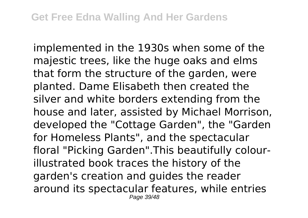implemented in the 1930s when some of the majestic trees, like the huge oaks and elms that form the structure of the garden, were planted. Dame Elisabeth then created the silver and white borders extending from the house and later, assisted by Michael Morrison, developed the "Cottage Garden", the "Garden for Homeless Plants", and the spectacular floral "Picking Garden".This beautifully colourillustrated book traces the history of the garden's creation and guides the reader around its spectacular features, while entries Page 39/48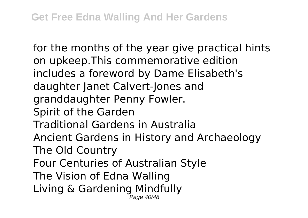for the months of the year give practical hints on upkeep.This commemorative edition includes a foreword by Dame Elisabeth's daughter Janet Calvert-Jones and granddaughter Penny Fowler. Spirit of the Garden Traditional Gardens in Australia Ancient Gardens in History and Archaeology The Old Country Four Centuries of Australian Style The Vision of Edna Walling Living & Gardening Mindfully Page 40/48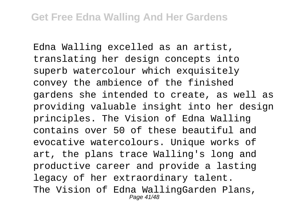Edna Walling excelled as an artist, translating her design concepts into superb watercolour which exquisitely convey the ambience of the finished gardens she intended to create, as well as providing valuable insight into her design principles. The Vision of Edna Walling contains over 50 of these beautiful and evocative watercolours. Unique works of art, the plans trace Walling's long and productive career and provide a lasting legacy of her extraordinary talent. The Vision of Edna WallingGarden Plans, Page 41/48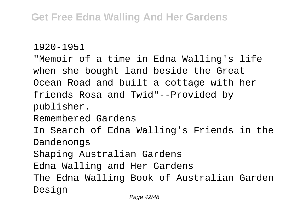```
1920-1951
```
"Memoir of a time in Edna Walling's life when she bought land beside the Great Ocean Road and built a cottage with her friends Rosa and Twid"--Provided by publisher. Remembered Gardens In Search of Edna Walling's Friends in the Dandenongs Shaping Australian Gardens Edna Walling and Her Gardens The Edna Walling Book of Australian Garden Design Page 42/48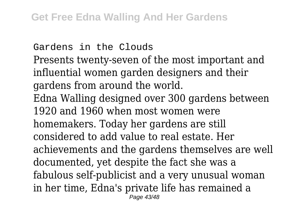Gardens in the Clouds Presents twenty-seven of the most important and influential women garden designers and their gardens from around the world. Edna Walling designed over 300 gardens between 1920 and 1960 when most women were homemakers. Today her gardens are still considered to add value to real estate. Her achievements and the gardens themselves are well documented, yet despite the fact she was a fabulous self-publicist and a very unusual woman in her time, Edna's private life has remained a Page 43/48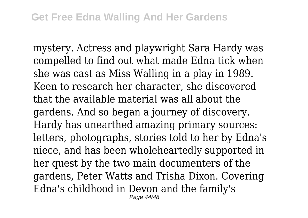mystery. Actress and playwright Sara Hardy was compelled to find out what made Edna tick when she was cast as Miss Walling in a play in 1989. Keen to research her character, she discovered that the available material was all about the gardens. And so began a journey of discovery. Hardy has unearthed amazing primary sources: letters, photographs, stories told to her by Edna's niece, and has been wholeheartedly supported in her quest by the two main documenters of the gardens, Peter Watts and Trisha Dixon. Covering Edna's childhood in Devon and the family's Page 44/48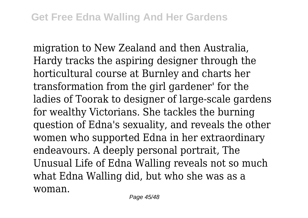migration to New Zealand and then Australia, Hardy tracks the aspiring designer through the horticultural course at Burnley and charts her transformation from the girl gardener' for the ladies of Toorak to designer of large-scale gardens for wealthy Victorians. She tackles the burning question of Edna's sexuality, and reveals the other women who supported Edna in her extraordinary endeavours. A deeply personal portrait, The Unusual Life of Edna Walling reveals not so much what Edna Walling did, but who she was as a woman.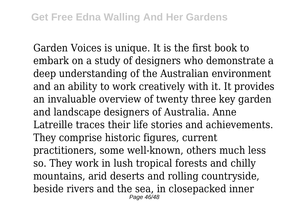Garden Voices is unique. It is the first book to embark on a study of designers who demonstrate a deep understanding of the Australian environment and an ability to work creatively with it. It provides an invaluable overview of twenty three key garden and landscape designers of Australia. Anne Latreille traces their life stories and achievements. They comprise historic figures, current practitioners, some well-known, others much less so. They work in lush tropical forests and chilly mountains, arid deserts and rolling countryside, beside rivers and the sea, in closepacked inner Page 46/48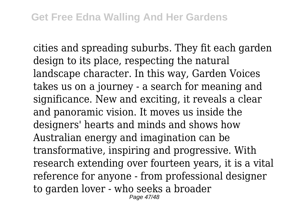cities and spreading suburbs. They fit each garden design to its place, respecting the natural landscape character. In this way, Garden Voices takes us on a journey - a search for meaning and significance. New and exciting, it reveals a clear and panoramic vision. It moves us inside the designers' hearts and minds and shows how Australian energy and imagination can be transformative, inspiring and progressive. With research extending over fourteen years, it is a vital reference for anyone - from professional designer to garden lover - who seeks a broader Page 47/48